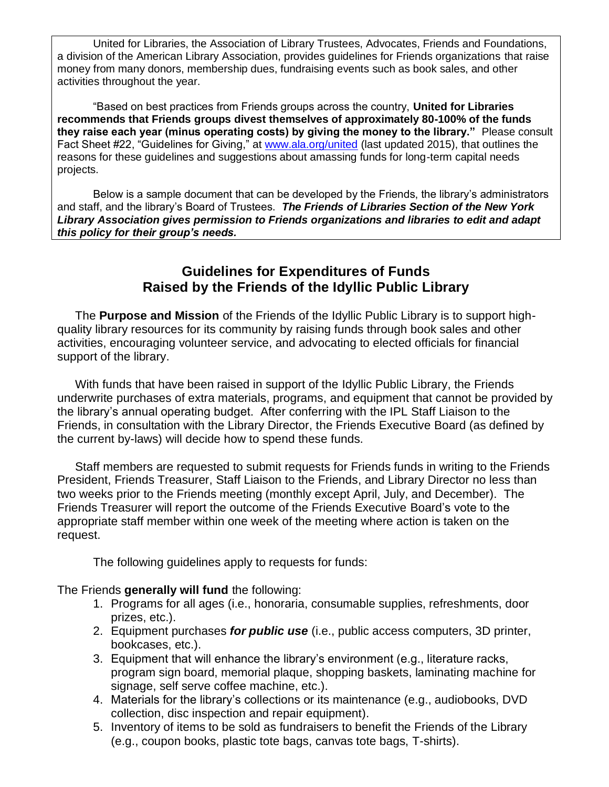United for Libraries, the Association of Library Trustees, Advocates, Friends and Foundations, a division of the American Library Association, provides guidelines for Friends organizations that raise money from many donors, membership dues, fundraising events such as book sales, and other activities throughout the year.

"Based on best practices from Friends groups across the country, **United for Libraries recommends that Friends groups divest themselves of approximately 80-100% of the funds they raise each year (minus operating costs) by giving the money to the library."** Please consult Fact Sheet #22, "Guidelines for Giving," at [www.ala.org/united](http://www.ala.org/united) (last updated 2015), that outlines the reasons for these guidelines and suggestions about amassing funds for long-term capital needs projects.

Below is a sample document that can be developed by the Friends, the library's administrators and staff, and the library's Board of Trustees. *The Friends of Libraries Section of the New York Library Association gives permission to Friends organizations and libraries to edit and adapt this policy for their group's needs.*

## **Guidelines for Expenditures of Funds Raised by the Friends of the Idyllic Public Library**

The **Purpose and Mission** of the Friends of the Idyllic Public Library is to support highquality library resources for its community by raising funds through book sales and other activities, encouraging volunteer service, and advocating to elected officials for financial support of the library.

With funds that have been raised in support of the Idyllic Public Library, the Friends underwrite purchases of extra materials, programs, and equipment that cannot be provided by the library's annual operating budget. After conferring with the IPL Staff Liaison to the Friends, in consultation with the Library Director, the Friends Executive Board (as defined by the current by-laws) will decide how to spend these funds.

Staff members are requested to submit requests for Friends funds in writing to the Friends President, Friends Treasurer, Staff Liaison to the Friends, and Library Director no less than two weeks prior to the Friends meeting (monthly except April, July, and December). The Friends Treasurer will report the outcome of the Friends Executive Board's vote to the appropriate staff member within one week of the meeting where action is taken on the request.

The following guidelines apply to requests for funds:

The Friends **generally will fund** the following:

- 1. Programs for all ages (i.e., honoraria, consumable supplies, refreshments, door prizes, etc.).
- 2. Equipment purchases *for public use* (i.e., public access computers, 3D printer, bookcases, etc.).
- 3. Equipment that will enhance the library's environment (e.g., literature racks, program sign board, memorial plaque, shopping baskets, laminating machine for signage, self serve coffee machine, etc.).
- 4. Materials for the library's collections or its maintenance (e.g., audiobooks, DVD collection, disc inspection and repair equipment).
- 5. Inventory of items to be sold as fundraisers to benefit the Friends of the Library (e.g., coupon books, plastic tote bags, canvas tote bags, T-shirts).